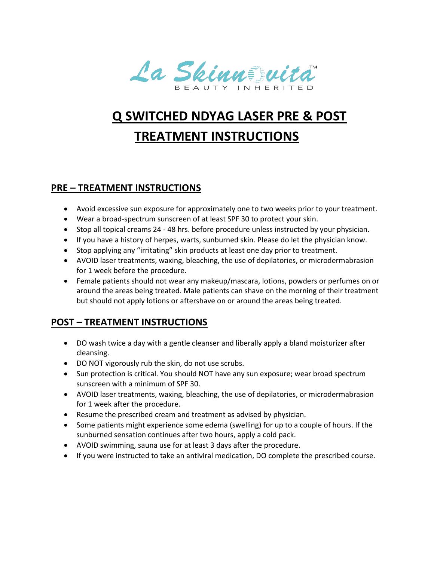

## **Q SWITCHED NDYAG LASER PRE & POST TREATMENT INSTRUCTIONS**

## **PRE – TREATMENT INSTRUCTIONS**

- Avoid excessive sun exposure for approximately one to two weeks prior to your treatment.
- Wear a broad-spectrum sunscreen of at least SPF 30 to protect your skin.
- Stop all topical creams 24 48 hrs. before procedure unless instructed by your physician.
- If you have a history of herpes, warts, sunburned skin. Please do let the physician know.
- Stop applying any "irritating" skin products at least one day prior to treatment.
- AVOID laser treatments, waxing, bleaching, the use of depilatories, or microdermabrasion for 1 week before the procedure.
- Female patients should not wear any makeup/mascara, lotions, powders or perfumes on or around the areas being treated. Male patients can shave on the morning of their treatment but should not apply lotions or aftershave on or around the areas being treated.

## **POST – TREATMENT INSTRUCTIONS**

- DO wash twice a day with a gentle cleanser and liberally apply a bland moisturizer after cleansing.
- DO NOT vigorously rub the skin, do not use scrubs.
- Sun protection is critical. You should NOT have any sun exposure; wear broad spectrum sunscreen with a minimum of SPF 30.
- AVOID laser treatments, waxing, bleaching, the use of depilatories, or microdermabrasion for 1 week after the procedure.
- Resume the prescribed cream and treatment as advised by physician.
- Some patients might experience some edema (swelling) for up to a couple of hours. If the sunburned sensation continues after two hours, apply a cold pack.
- AVOID swimming, sauna use for at least 3 days after the procedure.
- If you were instructed to take an antiviral medication, DO complete the prescribed course.